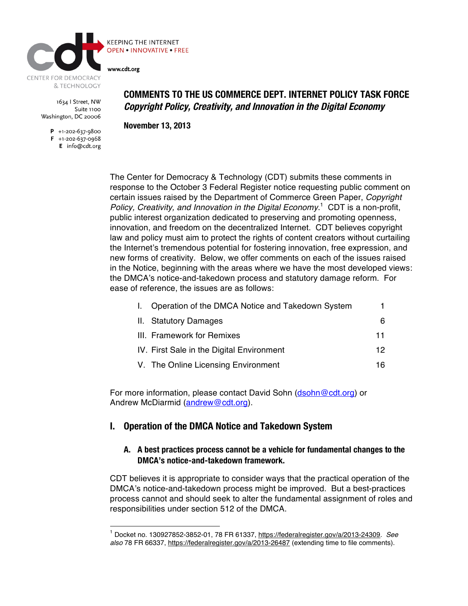

**OPEN . INNOVATIVE . FREE** 

**KEEPING THE INTERNET** 

www.cdt.org

1634 | Street, NW Suite 1100 Washington, DC 20006

> $P$  +1-202-637-9800  $F + 1-202-637-0968$ E info@cdt.org

**COMMENTS TO THE US COMMERCE DEPT. INTERNET POLICY TASK FORCE Copyright Policy, Creativity, and Innovation in the Digital Economy**

**November 13, 2013**

The Center for Democracy & Technology (CDT) submits these comments in response to the October 3 Federal Register notice requesting public comment on certain issues raised by the Department of Commerce Green Paper, *Copyright Policy, Creativity, and Innovation in the Digital Economy*. 1 CDT is a non-profit, public interest organization dedicated to preserving and promoting openness, innovation, and freedom on the decentralized Internet. CDT believes copyright law and policy must aim to protect the rights of content creators without curtailing the Internet's tremendous potential for fostering innovation, free expression, and new forms of creativity. Below, we offer comments on each of the issues raised in the Notice, beginning with the areas where we have the most developed views: the DMCA's notice-and-takedown process and statutory damage reform. For ease of reference, the issues are as follows:

| Operation of the DMCA Notice and Takedown System |    |
|--------------------------------------------------|----|
| II. Statutory Damages                            | 6  |
| III. Framework for Remixes                       | 11 |
| IV. First Sale in the Digital Environment        | 12 |
| V. The Online Licensing Environment              | 16 |

For more information, please contact David Sohn (dsohn@cdt.org) or Andrew McDiarmid (andrew@cdt.org).

# **I. Operation of the DMCA Notice and Takedown System**

#### **A. A best practices process cannot be a vehicle for fundamental changes to the DMCA's notice-and-takedown framework.**

CDT believes it is appropriate to consider ways that the practical operation of the DMCA's notice-and-takedown process might be improved. But a best-practices process cannot and should seek to alter the fundamental assignment of roles and responsibilities under section 512 of the DMCA.

 <sup>1</sup> Docket no. 130927852-3852-01, 78 FR 61337, https://federalregister.gov/a/2013-24309. *See also* 78 FR 66337, https://federalregister.gov/a/2013-26487 (extending time to file comments).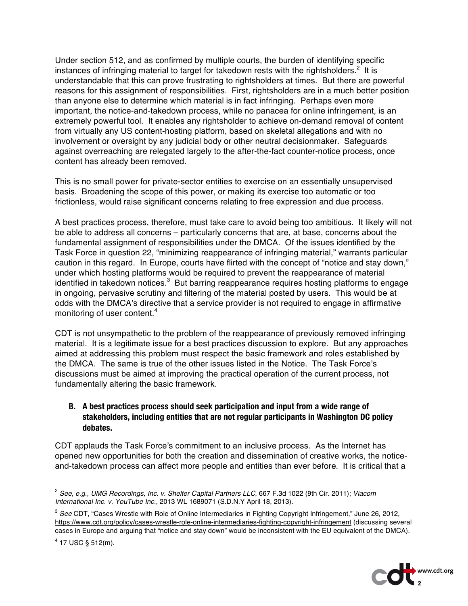Under section 512, and as confirmed by multiple courts, the burden of identifying specific instances of infringing material to target for takedown rests with the rightsholders.<sup>2</sup> It is understandable that this can prove frustrating to rightsholders at times. But there are powerful reasons for this assignment of responsibilities. First, rightsholders are in a much better position than anyone else to determine which material is in fact infringing. Perhaps even more important, the notice-and-takedown process, while no panacea for online infringement, is an extremely powerful tool. It enables any rightsholder to achieve on-demand removal of content from virtually any US content-hosting platform, based on skeletal allegations and with no involvement or oversight by any judicial body or other neutral decisionmaker. Safeguards against overreaching are relegated largely to the after-the-fact counter-notice process, once content has already been removed.

This is no small power for private-sector entities to exercise on an essentially unsupervised basis. Broadening the scope of this power, or making its exercise too automatic or too frictionless, would raise significant concerns relating to free expression and due process.

A best practices process, therefore, must take care to avoid being too ambitious. It likely will not be able to address all concerns – particularly concerns that are, at base, concerns about the fundamental assignment of responsibilities under the DMCA. Of the issues identified by the Task Force in question 22, "minimizing reappearance of infringing material," warrants particular caution in this regard. In Europe, courts have flirted with the concept of "notice and stay down," under which hosting platforms would be required to prevent the reappearance of material identified in takedown notices. $^3\,$  But barring reappearance requires hosting platforms to engage in ongoing, pervasive scrutiny and filtering of the material posted by users. This would be at odds with the DMCA's directive that a service provider is not required to engage in affirmative monitoring of user content.<sup>4</sup>

CDT is not unsympathetic to the problem of the reappearance of previously removed infringing material. It is a legitimate issue for a best practices discussion to explore. But any approaches aimed at addressing this problem must respect the basic framework and roles established by the DMCA. The same is true of the other issues listed in the Notice. The Task Force's discussions must be aimed at improving the practical operation of the current process, not fundamentally altering the basic framework.

## **B. A best practices process should seek participation and input from a wide range of stakeholders, including entities that are not regular participants in Washington DC policy debates.**

CDT applauds the Task Force's commitment to an inclusive process. As the Internet has opened new opportunities for both the creation and dissemination of creative works, the noticeand-takedown process can affect more people and entities than ever before. It is critical that a



 <sup>2</sup> *See, e.g., UMG Recordings, Inc. v. Shelter Capital Partners LLC*, 667 F.3d 1022 (9th Cir. 2011); *Viacom International Inc. v. YouTube Inc.*, 2013 WL 1689071 (S.D.N.Y April 18, 2013).

<sup>3</sup> *See* CDT, "Cases Wrestle with Role of Online Intermediaries in Fighting Copyright Infringement," June 26, 2012, https://www.cdt.org/policy/cases-wrestle-role-online-intermediaries-fighting-copyright-infringement (discussing several cases in Europe and arguing that "notice and stay down" would be inconsistent with the EU equivalent of the DMCA).

 $4$  17 USC § 512(m).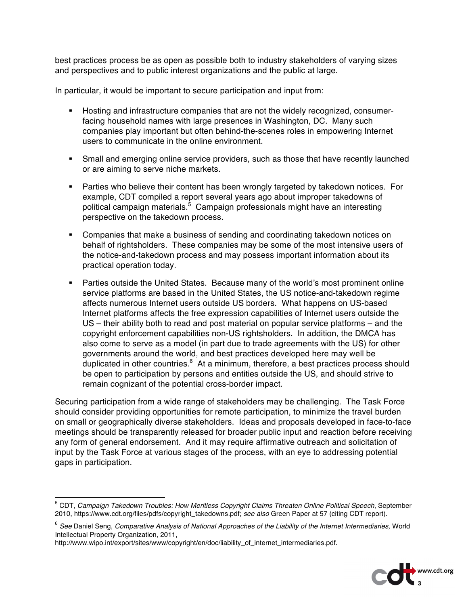best practices process be as open as possible both to industry stakeholders of varying sizes and perspectives and to public interest organizations and the public at large.

In particular, it would be important to secure participation and input from:

- Hosting and infrastructure companies that are not the widely recognized, consumerfacing household names with large presences in Washington, DC. Many such companies play important but often behind-the-scenes roles in empowering Internet users to communicate in the online environment.
- Small and emerging online service providers, such as those that have recently launched or are aiming to serve niche markets.
- **Parties who believe their content has been wrongly targeted by takedown notices. For** example, CDT compiled a report several years ago about improper takedowns of political campaign materials.<sup>5</sup> Campaign professionals might have an interesting perspective on the takedown process.
- Companies that make a business of sending and coordinating takedown notices on behalf of rightsholders. These companies may be some of the most intensive users of the notice-and-takedown process and may possess important information about its practical operation today.
- Parties outside the United States. Because many of the world's most prominent online service platforms are based in the United States, the US notice-and-takedown regime affects numerous Internet users outside US borders. What happens on US-based Internet platforms affects the free expression capabilities of Internet users outside the US – their ability both to read and post material on popular service platforms – and the copyright enforcement capabilities non-US rightsholders. In addition, the DMCA has also come to serve as a model (in part due to trade agreements with the US) for other governments around the world, and best practices developed here may well be duplicated in other countries.<sup>6</sup> At a minimum, therefore, a best practices process should be open to participation by persons and entities outside the US, and should strive to remain cognizant of the potential cross-border impact.

Securing participation from a wide range of stakeholders may be challenging. The Task Force should consider providing opportunities for remote participation, to minimize the travel burden on small or geographically diverse stakeholders. Ideas and proposals developed in face-to-face meetings should be transparently released for broader public input and reaction before receiving any form of general endorsement. And it may require affirmative outreach and solicitation of input by the Task Force at various stages of the process, with an eye to addressing potential gaps in participation.



 <sup>5</sup> CDT, *Campaign Takedown Troubles: How Meritless Copyright Claims Threaten Online Political Speech*, September 2010, https://www.cdt.org/files/pdfs/copyright\_takedowns.pdf; *see also* Green Paper at 57 (citing CDT report).

<sup>6</sup> *See* Daniel Seng, *Comparative Analysis of National Approaches of the Liability of the Internet Intermediaries,* World Intellectual Property Organization, 2011,

http://www.wipo.int/export/sites/www/copyright/en/doc/liability\_of\_internet\_intermediaries.pdf.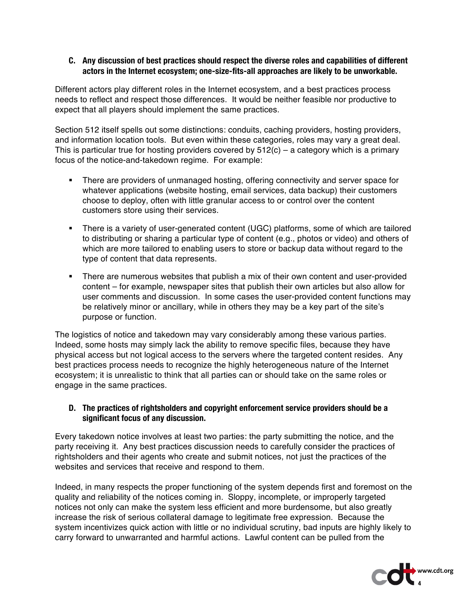#### **C. Any discussion of best practices should respect the diverse roles and capabilities of different actors in the Internet ecosystem; one-size-fits-all approaches are likely to be unworkable.**

Different actors play different roles in the Internet ecosystem, and a best practices process needs to reflect and respect those differences. It would be neither feasible nor productive to expect that all players should implement the same practices.

Section 512 itself spells out some distinctions: conduits, caching providers, hosting providers, and information location tools. But even within these categories, roles may vary a great deal. This is particular true for hosting providers covered by  $512(c)$  – a category which is a primary focus of the notice-and-takedown regime. For example:

- There are providers of unmanaged hosting, offering connectivity and server space for whatever applications (website hosting, email services, data backup) their customers choose to deploy, often with little granular access to or control over the content customers store using their services.
- There is a variety of user-generated content (UGC) platforms, some of which are tailored to distributing or sharing a particular type of content (e.g., photos or video) and others of which are more tailored to enabling users to store or backup data without regard to the type of content that data represents.
- There are numerous websites that publish a mix of their own content and user-provided content – for example, newspaper sites that publish their own articles but also allow for user comments and discussion. In some cases the user-provided content functions may be relatively minor or ancillary, while in others they may be a key part of the site's purpose or function.

The logistics of notice and takedown may vary considerably among these various parties. Indeed, some hosts may simply lack the ability to remove specific files, because they have physical access but not logical access to the servers where the targeted content resides. Any best practices process needs to recognize the highly heterogeneous nature of the Internet ecosystem; it is unrealistic to think that all parties can or should take on the same roles or engage in the same practices.

#### **D. The practices of rightsholders and copyright enforcement service providers should be a significant focus of any discussion.**

Every takedown notice involves at least two parties: the party submitting the notice, and the party receiving it. Any best practices discussion needs to carefully consider the practices of rightsholders and their agents who create and submit notices, not just the practices of the websites and services that receive and respond to them.

Indeed, in many respects the proper functioning of the system depends first and foremost on the quality and reliability of the notices coming in. Sloppy, incomplete, or improperly targeted notices not only can make the system less efficient and more burdensome, but also greatly increase the risk of serious collateral damage to legitimate free expression. Because the system incentivizes quick action with little or no individual scrutiny, bad inputs are highly likely to carry forward to unwarranted and harmful actions. Lawful content can be pulled from the

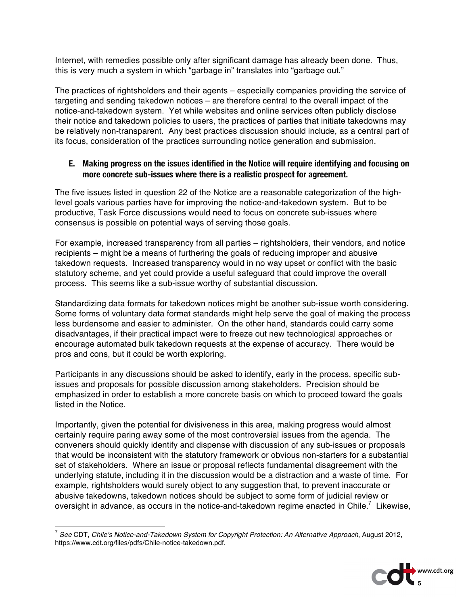Internet, with remedies possible only after significant damage has already been done. Thus, this is very much a system in which "garbage in" translates into "garbage out."

The practices of rightsholders and their agents – especially companies providing the service of targeting and sending takedown notices – are therefore central to the overall impact of the notice-and-takedown system. Yet while websites and online services often publicly disclose their notice and takedown policies to users, the practices of parties that initiate takedowns may be relatively non-transparent. Any best practices discussion should include, as a central part of its focus, consideration of the practices surrounding notice generation and submission.

#### **E. Making progress on the issues identified in the Notice will require identifying and focusing on more concrete sub-issues where there is a realistic prospect for agreement.**

The five issues listed in question 22 of the Notice are a reasonable categorization of the highlevel goals various parties have for improving the notice-and-takedown system. But to be productive, Task Force discussions would need to focus on concrete sub-issues where consensus is possible on potential ways of serving those goals.

For example, increased transparency from all parties – rightsholders, their vendors, and notice recipients – might be a means of furthering the goals of reducing improper and abusive takedown requests. Increased transparency would in no way upset or conflict with the basic statutory scheme, and yet could provide a useful safeguard that could improve the overall process. This seems like a sub-issue worthy of substantial discussion.

Standardizing data formats for takedown notices might be another sub-issue worth considering. Some forms of voluntary data format standards might help serve the goal of making the process less burdensome and easier to administer. On the other hand, standards could carry some disadvantages, if their practical impact were to freeze out new technological approaches or encourage automated bulk takedown requests at the expense of accuracy. There would be pros and cons, but it could be worth exploring.

Participants in any discussions should be asked to identify, early in the process, specific subissues and proposals for possible discussion among stakeholders. Precision should be emphasized in order to establish a more concrete basis on which to proceed toward the goals listed in the Notice.

Importantly, given the potential for divisiveness in this area, making progress would almost certainly require paring away some of the most controversial issues from the agenda. The conveners should quickly identify and dispense with discussion of any sub-issues or proposals that would be inconsistent with the statutory framework or obvious non-starters for a substantial set of stakeholders. Where an issue or proposal reflects fundamental disagreement with the underlying statute, including it in the discussion would be a distraction and a waste of time. For example, rightsholders would surely object to any suggestion that, to prevent inaccurate or abusive takedowns, takedown notices should be subject to some form of judicial review or oversight in advance, as occurs in the notice-and-takedown regime enacted in Chile.<sup>7</sup> Likewise,

 <sup>7</sup> *See* CDT, *Chile's Notice-and-Takedown System for Copyright Protection: An Alternative Approach*, August 2012, https://www.cdt.org/files/pdfs/Chile-notice-takedown.pdf.

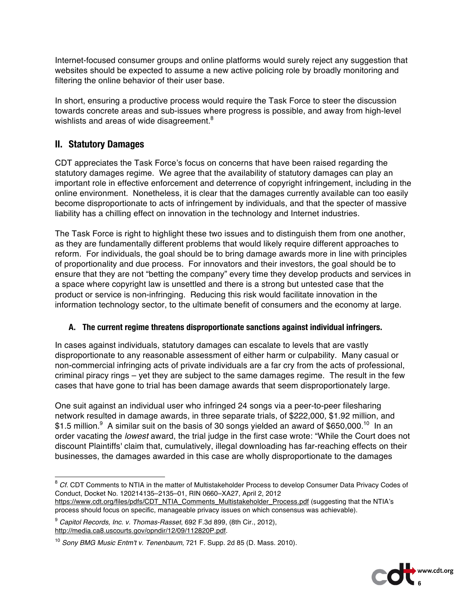Internet-focused consumer groups and online platforms would surely reject any suggestion that websites should be expected to assume a new active policing role by broadly monitoring and filtering the online behavior of their user base.

In short, ensuring a productive process would require the Task Force to steer the discussion towards concrete areas and sub-issues where progress is possible, and away from high-level wishlists and areas of wide disagreement.<sup>8</sup>

# **II. Statutory Damages**

CDT appreciates the Task Force's focus on concerns that have been raised regarding the statutory damages regime. We agree that the availability of statutory damages can play an important role in effective enforcement and deterrence of copyright infringement, including in the online environment. Nonetheless, it is clear that the damages currently available can too easily become disproportionate to acts of infringement by individuals, and that the specter of massive liability has a chilling effect on innovation in the technology and Internet industries.

The Task Force is right to highlight these two issues and to distinguish them from one another, as they are fundamentally different problems that would likely require different approaches to reform. For individuals, the goal should be to bring damage awards more in line with principles of proportionality and due process. For innovators and their investors, the goal should be to ensure that they are not "betting the company" every time they develop products and services in a space where copyright law is unsettled and there is a strong but untested case that the product or service is non-infringing. Reducing this risk would facilitate innovation in the information technology sector, to the ultimate benefit of consumers and the economy at large.

## **A. The current regime threatens disproportionate sanctions against individual infringers.**

In cases against individuals, statutory damages can escalate to levels that are vastly disproportionate to any reasonable assessment of either harm or culpability. Many casual or non-commercial infringing acts of private individuals are a far cry from the acts of professional, criminal piracy rings – yet they are subject to the same damages regime. The result in the few cases that have gone to trial has been damage awards that seem disproportionately large.

One suit against an individual user who infringed 24 songs via a peer-to-peer filesharing network resulted in damage awards, in three separate trials, of \$222,000, \$1.92 million, and \$1.5 million. $^{9}$  A similar suit on the basis of 30 songs yielded an award of \$650,000.<sup>10</sup> In an order vacating the *lowest* award, the trial judge in the first case wrote: "While the Court does not discount Plaintiffs' claim that, cumulatively, illegal downloading has far-reaching effects on their businesses, the damages awarded in this case are wholly disproportionate to the damages

<sup>9</sup> *Capitol Records, Inc. v. Thomas-Rasset*, 692 F.3d 899, (8th Cir., 2012), http://media.ca8.uscourts.gov/opndir/12/09/112820P.pdf.



<sup>&</sup>lt;sup>8</sup> Cf. CDT Comments to NTIA in the matter of Multistakeholder Process to develop Consumer Data Privacy Codes of Conduct, Docket No. 120214135–2135–01, RIN 0660–XA27, April 2, 2012

https://www.cdt.org/files/pdfs/CDT\_NTIA\_Comments\_Multistakeholder\_Process.pdf (suggesting that the NTIA's process should focus on specific, manageable privacy issues on which consensus was achievable).

<sup>10</sup> *Sony BMG Music Entm't v. Tenenbaum*, 721 F. Supp. 2d 85 (D. Mass. 2010).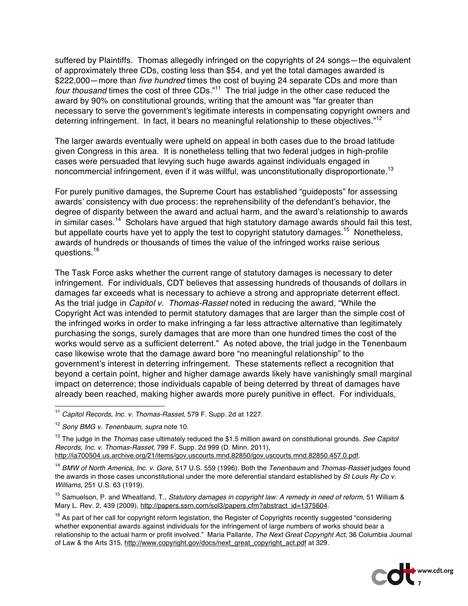suffered by Plaintiffs. Thomas allegedly infringed on the copyrights of 24 songs—the equivalent of approximately three CDs, costing less than \$54, and yet the total damages awarded is \$222,000—more than *five hundred* times the cost of buying 24 separate CDs and more than *four thousand* times the cost of three CDs." 11 The trial judge in the other case reduced the award by 90% on constitutional grounds, writing that the amount was "far greater than necessary to serve the government's legitimate interests in compensating copyright owners and deterring infringement. In fact, it bears no meaningful relationship to these objectives."<sup>12</sup>

The larger awards eventually were upheld on appeal in both cases due to the broad latitude given Congress in this area. It is nonetheless telling that two federal judges in high-profile cases were persuaded that levying such huge awards against individuals engaged in noncommercial infringement, even if it was willful, was unconstitutionally disproportionate.<sup>13</sup>

For purely punitive damages, the Supreme Court has established "guideposts" for assessing awards' consistency with due process: the reprehensibility of the defendant's behavior, the degree of disparity between the award and actual harm, and the award's relationship to awards in similar cases.<sup>14</sup> Scholars have argued that high statutory damage awards should fail this test, but appellate courts have yet to apply the test to copyright statutory damages.<sup>15</sup> Nonetheless, awards of hundreds or thousands of times the value of the infringed works raise serious questions.<sup>16</sup>

The Task Force asks whether the current range of statutory damages is necessary to deter infringement. For individuals, CDT believes that assessing hundreds of thousands of dollars in damages far exceeds what is necessary to achieve a strong and appropriate deterrent effect. As the trial judge in *Capitol v. Thomas-Rasset* noted in reducing the award, "While the Copyright Act was intended to permit statutory damages that are larger than the simple cost of the infringed works in order to make infringing a far less attractive alternative than legitimately purchasing the songs, surely damages that are more than one hundred times the cost of the works would serve as a sufficient deterrent." As noted above, the trial judge in the Tenenbaum case likewise wrote that the damage award bore "no meaningful relationship" to the government's interest in deterring infringement. These statements reflect a recognition that beyond a certain point, higher and higher damage awards likely have vanishingly small marginal impact on deterrence; those individuals capable of being deterred by threat of damages have already been reached, making higher awards more purely punitive in effect. For individuals,

<sup>&</sup>lt;sup>16</sup> As part of her call for copyright reform legislation, the Register of Copyrights recently suggested "considering whether exponential awards against individuals for the infringement of large numbers of works should bear a relationship to the actual harm or profit involved." Maria Pallante, *The Next Great Copyright Act*, 36 Columbia Journal of Law & the Arts 315, http://www.copyright.gov/docs/next\_great\_copyright\_act.pdf at 329.



 <sup>11</sup> *Capitol Records, Inc. v. Thomas-Rasset*, 579 F. Supp. 2d at 1227.

<sup>12</sup> *Sony BMG v. Tenenbaum*, *supra* note 10.

<sup>13</sup> The judge in the *Thomas* case ultimately reduced the \$1.5 million award on constitutional grounds. *See Capitol Records, Inc. v. Thomas-Rasset*, 799 F. Supp. 2d 999 (D. Minn. 2011), http://ia700504.us.archive.org/21/items/gov.uscourts.mnd.82850/gov.uscourts.mnd.82850.457.0.pdf.

<sup>14</sup> *BMW of North America, Inc. v. Gore*, 517 U.S. 559 (1996). Both the *Tenenbaum* and *Thomas-Rasset* judges found the awards in those cases unconstitutional under the more deferential standard established by *St Louis Ry Co v. Williams*, 251 U.S. 63 (1919).

<sup>15</sup> Samuelson, P. and Wheatland, T., *Statutory damages in copyright law: A remedy in need of reform*, 51 William & Mary L. Rev. 2, 439 (2009), http://papers.ssrn.com/sol3/papers.cfm?abstract\_id=1375604.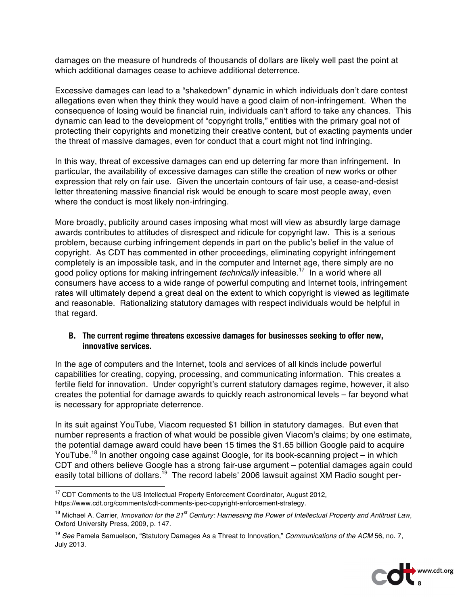damages on the measure of hundreds of thousands of dollars are likely well past the point at which additional damages cease to achieve additional deterrence.

Excessive damages can lead to a "shakedown" dynamic in which individuals don't dare contest allegations even when they think they would have a good claim of non-infringement. When the consequence of losing would be financial ruin, individuals can't afford to take any chances. This dynamic can lead to the development of "copyright trolls," entities with the primary goal not of protecting their copyrights and monetizing their creative content, but of exacting payments under the threat of massive damages, even for conduct that a court might not find infringing.

In this way, threat of excessive damages can end up deterring far more than infringement. In particular, the availability of excessive damages can stifle the creation of new works or other expression that rely on fair use. Given the uncertain contours of fair use, a cease-and-desist letter threatening massive financial risk would be enough to scare most people away, even where the conduct is most likely non-infringing.

More broadly, publicity around cases imposing what most will view as absurdly large damage awards contributes to attitudes of disrespect and ridicule for copyright law. This is a serious problem, because curbing infringement depends in part on the public's belief in the value of copyright. As CDT has commented in other proceedings, eliminating copyright infringement completely is an impossible task, and in the computer and Internet age, there simply are no good policy options for making infringement *technically* infeasible.17 In a world where all consumers have access to a wide range of powerful computing and Internet tools, infringement rates will ultimately depend a great deal on the extent to which copyright is viewed as legitimate and reasonable. Rationalizing statutory damages with respect individuals would be helpful in that regard.

### **B. The current regime threatens excessive damages for businesses seeking to offer new, innovative services.**

In the age of computers and the Internet, tools and services of all kinds include powerful capabilities for creating, copying, processing, and communicating information. This creates a fertile field for innovation. Under copyright's current statutory damages regime, however, it also creates the potential for damage awards to quickly reach astronomical levels – far beyond what is necessary for appropriate deterrence.

In its suit against YouTube, Viacom requested \$1 billion in statutory damages. But even that number represents a fraction of what would be possible given Viacom's claims; by one estimate, the potential damage award could have been 15 times the \$1.65 billion Google paid to acquire YouTube.<sup>18</sup> In another ongoing case against Google, for its book-scanning project – in which CDT and others believe Google has a strong fair-use argument – potential damages again could easily total billions of dollars.<sup>19</sup> The record labels' 2006 lawsuit against XM Radio sought per-

<sup>19</sup> *See* Pamela Samuelson, "Statutory Damages As a Threat to Innovation," *Communications of the ACM* 56, no. 7, July 2013.



<sup>&</sup>lt;sup>17</sup> CDT Comments to the US Intellectual Property Enforcement Coordinator, August 2012, https://www.cdt.org/comments/cdt-comments-ipec-copyright-enforcement-strategy.

<sup>18</sup> Michael A. Carrier, *Innovation for the 21st Century: Harnessing the Power of Intellectual Property and Antitrust Law*, Oxford University Press, 2009, p. 147.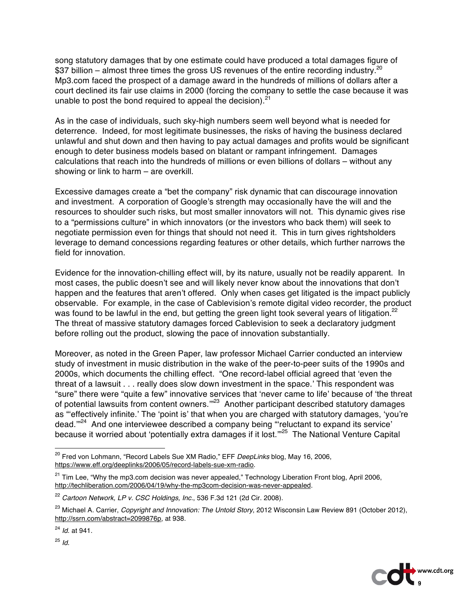song statutory damages that by one estimate could have produced a total damages figure of \$37 billion – almost three times the gross US revenues of the entire recording industry.<sup>20</sup> Mp3.com faced the prospect of a damage award in the hundreds of millions of dollars after a court declined its fair use claims in 2000 (forcing the company to settle the case because it was unable to post the bond required to appeal the decision). $21$ 

As in the case of individuals, such sky-high numbers seem well beyond what is needed for deterrence. Indeed, for most legitimate businesses, the risks of having the business declared unlawful and shut down and then having to pay actual damages and profits would be significant enough to deter business models based on blatant or rampant infringement. Damages calculations that reach into the hundreds of millions or even billions of dollars – without any showing or link to harm – are overkill.

Excessive damages create a "bet the company" risk dynamic that can discourage innovation and investment. A corporation of Google's strength may occasionally have the will and the resources to shoulder such risks, but most smaller innovators will not. This dynamic gives rise to a "permissions culture" in which innovators (or the investors who back them) will seek to negotiate permission even for things that should not need it. This in turn gives rightsholders leverage to demand concessions regarding features or other details, which further narrows the field for innovation.

Evidence for the innovation-chilling effect will, by its nature, usually not be readily apparent. In most cases, the public doesn't see and will likely never know about the innovations that don't happen and the features that aren't offered. Only when cases get litigated is the impact publicly observable. For example, in the case of Cablevision's remote digital video recorder, the product was found to be lawful in the end, but getting the green light took several years of litigation.<sup>22</sup> The threat of massive statutory damages forced Cablevision to seek a declaratory judgment before rolling out the product, slowing the pace of innovation substantially.

Moreover, as noted in the Green Paper, law professor Michael Carrier conducted an interview study of investment in music distribution in the wake of the peer-to-peer suits of the 1990s and 2000s, which documents the chilling effect. "One record-label official agreed that 'even the threat of a lawsuit . . . really does slow down investment in the space.' This respondent was "sure" there were "quite a few" innovative services that 'never came to life' because of 'the threat of potential lawsuits from content owners."<sup>23</sup> Another participant described statutory damages as "'effectively infinite.' The 'point is' that when you are charged with statutory damages, 'you're dead.'"24 And one interviewee described a company being "'reluctant to expand its service' because it worried about 'potentially extra damages if it lost."<sup>25</sup> The National Venture Capital



 <sup>20</sup> Fred von Lohmann, "Record Labels Sue XM Radio," EFF *DeepLinks* blog, May 16, 2006, https://www.eff.org/deeplinks/2006/05/record-labels-sue-xm-radio.

<sup>&</sup>lt;sup>21</sup> Tim Lee, "Why the mp3.com decision was never appealed," Technology Liberation Front blog, April 2006, http://techliberation.com/2006/04/19/why-the-mp3com-decision-was-never-appealed.

<sup>22</sup> *Cartoon Network, LP v. CSC Holdings, Inc.*, 536 F.3d 121 (2d Cir. 2008).

<sup>23</sup> Michael A. Carrier, *Copyright and Innovation: The Untold Story*, 2012 Wisconsin Law Review 891 (October 2012), http://ssrn.com/abstract=2099876p, at 938.

<sup>24</sup> *Id*. at 941.

<sup>25</sup> *Id*.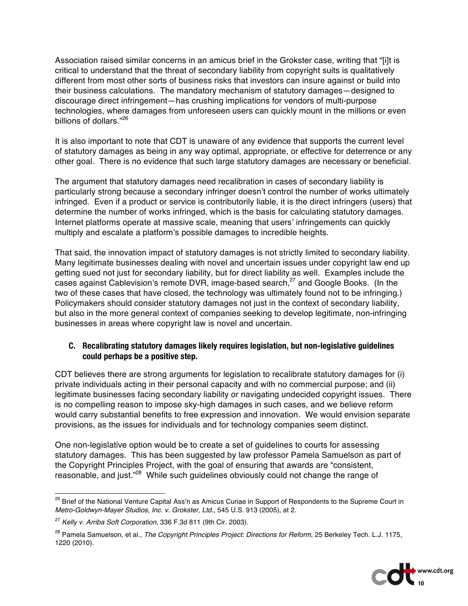Association raised similar concerns in an amicus brief in the Grokster case, writing that "[i]t is critical to understand that the threat of secondary liability from copyright suits is qualitatively different from most other sorts of business risks that investors can insure against or build into their business calculations. The mandatory mechanism of statutory damages—designed to discourage direct infringement—has crushing implications for vendors of multi-purpose technologies, where damages from unforeseen users can quickly mount in the millions or even billions of dollars."<sup>26</sup>

It is also important to note that CDT is unaware of any evidence that supports the current level of statutory damages as being in any way optimal, appropriate, or effective for deterrence or any other goal. There is no evidence that such large statutory damages are necessary or beneficial.

The argument that statutory damages need recalibration in cases of secondary liability is particularly strong because a secondary infringer doesn't control the number of works ultimately infringed. Even if a product or service is contributorily liable, it is the direct infringers (users) that determine the number of works infringed, which is the basis for calculating statutory damages. Internet platforms operate at massive scale, meaning that users' infringements can quickly multiply and escalate a platform's possible damages to incredible heights.

That said, the innovation impact of statutory damages is not strictly limited to secondary liability. Many legitimate businesses dealing with novel and uncertain issues under copyright law end up getting sued not just for secondary liability, but for direct liability as well. Examples include the cases against Cablevision's remote DVR, image-based search,<sup>27</sup> and Google Books. (In the two of these cases that have closed, the technology was ultimately found not to be infringing.) Policymakers should consider statutory damages not just in the context of secondary liability, but also in the more general context of companies seeking to develop legitimate, non-infringing businesses in areas where copyright law is novel and uncertain.

### **C. Recalibrating statutory damages likely requires legislation, but non-legislative guidelines could perhaps be a positive step.**

CDT believes there are strong arguments for legislation to recalibrate statutory damages for (i) private individuals acting in their personal capacity and with no commercial purpose; and (ii) legitimate businesses facing secondary liability or navigating undecided copyright issues. There is no compelling reason to impose sky-high damages in such cases, and we believe reform would carry substantial benefits to free expression and innovation. We would envision separate provisions, as the issues for individuals and for technology companies seem distinct.

One non-legislative option would be to create a set of guidelines to courts for assessing statutory damages. This has been suggested by law professor Pamela Samuelson as part of the Copyright Principles Project, with the goal of ensuring that awards are "consistent, reasonable, and just."<sup>28</sup> While such guidelines obviously could not change the range of

<sup>28</sup> Pamela Samuelson, et al., *The Copyright Principles Project: Directions for Reform*, 25 Berkeley Tech. L.J. 1175, 1220 (2010).



<sup>&</sup>lt;sup>26</sup> Brief of the National Venture Capital Ass'n as Amicus Curiae in Support of Respondents to the Supreme Court in *Metro-Goldwyn-Mayer Studios, Inc. v. Grokster, Ltd.*, 545 U.S. 913 (2005), at 2.

<sup>27</sup> *Kelly v. Arriba Soft Corporation*, 336 F.3d 811 (9th Cir. 2003).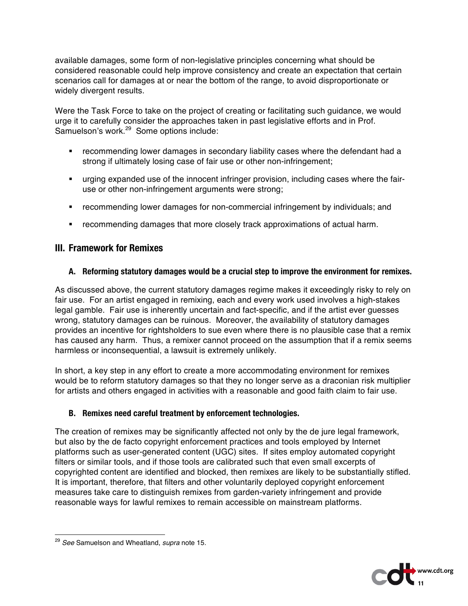available damages, some form of non-legislative principles concerning what should be considered reasonable could help improve consistency and create an expectation that certain scenarios call for damages at or near the bottom of the range, to avoid disproportionate or widely divergent results.

Were the Task Force to take on the project of creating or facilitating such guidance, we would urge it to carefully consider the approaches taken in past legislative efforts and in Prof. Samuelson's work.<sup>29</sup> Some options include:

- **•** recommending lower damages in secondary liability cases where the defendant had a strong if ultimately losing case of fair use or other non-infringement;
- urging expanded use of the innocent infringer provision, including cases where the fairuse or other non-infringement arguments were strong;
- recommending lower damages for non-commercial infringement by individuals; and
- recommending damages that more closely track approximations of actual harm.

# **III. Framework for Remixes**

## **A. Reforming statutory damages would be a crucial step to improve the environment for remixes.**

As discussed above, the current statutory damages regime makes it exceedingly risky to rely on fair use. For an artist engaged in remixing, each and every work used involves a high-stakes legal gamble. Fair use is inherently uncertain and fact-specific, and if the artist ever guesses wrong, statutory damages can be ruinous. Moreover, the availability of statutory damages provides an incentive for rightsholders to sue even where there is no plausible case that a remix has caused any harm. Thus, a remixer cannot proceed on the assumption that if a remix seems harmless or inconsequential, a lawsuit is extremely unlikely.

In short, a key step in any effort to create a more accommodating environment for remixes would be to reform statutory damages so that they no longer serve as a draconian risk multiplier for artists and others engaged in activities with a reasonable and good faith claim to fair use.

## **B. Remixes need careful treatment by enforcement technologies.**

The creation of remixes may be significantly affected not only by the de jure legal framework, but also by the de facto copyright enforcement practices and tools employed by Internet platforms such as user-generated content (UGC) sites. If sites employ automated copyright filters or similar tools, and if those tools are calibrated such that even small excerpts of copyrighted content are identified and blocked, then remixes are likely to be substantially stifled. It is important, therefore, that filters and other voluntarily deployed copyright enforcement measures take care to distinguish remixes from garden-variety infringement and provide reasonable ways for lawful remixes to remain accessible on mainstream platforms.



 <sup>29</sup> *See* Samuelson and Wheatland, *supra* note 15.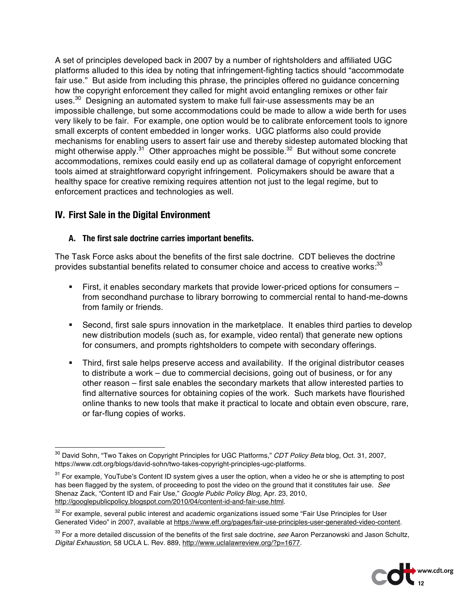A set of principles developed back in 2007 by a number of rightsholders and affiliated UGC platforms alluded to this idea by noting that infringement-fighting tactics should "accommodate fair use." But aside from including this phrase, the principles offered no guidance concerning how the copyright enforcement they called for might avoid entangling remixes or other fair uses.<sup>30</sup> Designing an automated system to make full fair-use assessments may be an impossible challenge, but some accommodations could be made to allow a wide berth for uses very likely to be fair. For example, one option would be to calibrate enforcement tools to ignore small excerpts of content embedded in longer works. UGC platforms also could provide mechanisms for enabling users to assert fair use and thereby sidestep automated blocking that might otherwise apply.<sup>31</sup> Other approaches might be possible.<sup>32</sup> But without some concrete accommodations, remixes could easily end up as collateral damage of copyright enforcement tools aimed at straightforward copyright infringement. Policymakers should be aware that a healthy space for creative remixing requires attention not just to the legal regime, but to enforcement practices and technologies as well.

# **IV. First Sale in the Digital Environment**

### **A. The first sale doctrine carries important benefits.**

The Task Force asks about the benefits of the first sale doctrine. CDT believes the doctrine provides substantial benefits related to consumer choice and access to creative works:<sup>33</sup>

- First, it enables secondary markets that provide lower-priced options for consumers from secondhand purchase to library borrowing to commercial rental to hand-me-downs from family or friends.
- Second, first sale spurs innovation in the marketplace. It enables third parties to develop new distribution models (such as, for example, video rental) that generate new options for consumers, and prompts rightsholders to compete with secondary offerings.
- Third, first sale helps preserve access and availability. If the original distributor ceases to distribute a work – due to commercial decisions, going out of business, or for any other reason – first sale enables the secondary markets that allow interested parties to find alternative sources for obtaining copies of the work. Such markets have flourished online thanks to new tools that make it practical to locate and obtain even obscure, rare, or far-flung copies of works.

<sup>33</sup> For a more detailed discussion of the benefits of the first sale doctrine, *see* Aaron Perzanowski and Jason Schultz, *Digital Exhaustion*, 58 UCLA L. Rev. 889, http://www.uclalawreview.org/?p=1677.



 <sup>30</sup> David Sohn, "Two Takes on Copyright Principles for UGC Platforms," *CDT Policy Beta* blog*,* Oct. 31, 2007, https://www.cdt.org/blogs/david-sohn/two-takes-copyright-principles-ugc-platforms.

<sup>&</sup>lt;sup>31</sup> For example. YouTube's Content ID system gives a user the option, when a video he or she is attempting to post has been flagged by the system, of proceeding to post the video on the ground that it constitutes fair use. *See* Shenaz Zack, "Content ID and Fair Use," *Google Public Policy Blog,* Apr. 23, 2010, http://googlepublicpolicy.blogspot.com/2010/04/content-id-and-fair-use.html.

<sup>&</sup>lt;sup>32</sup> For example, several public interest and academic organizations issued some "Fair Use Principles for User Generated Video" in 2007, available at https://www.eff.org/pages/fair-use-principles-user-generated-video-content.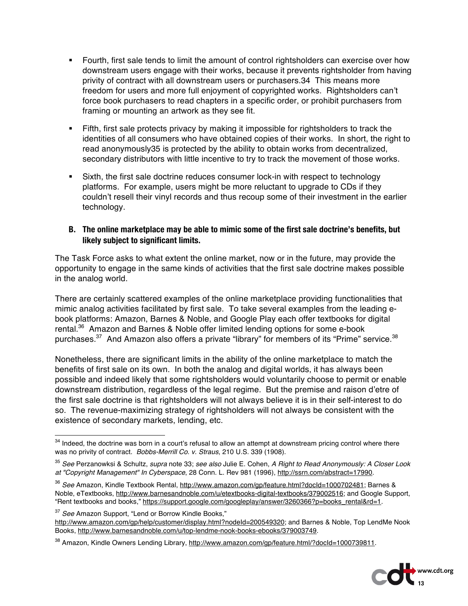- Fourth, first sale tends to limit the amount of control rightsholders can exercise over how downstream users engage with their works, because it prevents rightsholder from having privity of contract with all downstream users or purchasers.34 This means more freedom for users and more full enjoyment of copyrighted works. Rightsholders can't force book purchasers to read chapters in a specific order, or prohibit purchasers from framing or mounting an artwork as they see fit.
- Fifth, first sale protects privacy by making it impossible for rightsholders to track the identities of all consumers who have obtained copies of their works. In short, the right to read anonymously35 is protected by the ability to obtain works from decentralized, secondary distributors with little incentive to try to track the movement of those works.
- Sixth, the first sale doctrine reduces consumer lock-in with respect to technology platforms. For example, users might be more reluctant to upgrade to CDs if they couldn't resell their vinyl records and thus recoup some of their investment in the earlier technology.

### **B. The online marketplace may be able to mimic some of the first sale doctrine's benefits, but likely subject to significant limits.**

The Task Force asks to what extent the online market, now or in the future, may provide the opportunity to engage in the same kinds of activities that the first sale doctrine makes possible in the analog world.

There are certainly scattered examples of the online marketplace providing functionalities that mimic analog activities facilitated by first sale. To take several examples from the leading ebook platforms: Amazon, Barnes & Noble, and Google Play each offer textbooks for digital rental.36 Amazon and Barnes & Noble offer limited lending options for some e-book purchases. $37$  And Amazon also offers a private "library" for members of its "Prime" service. $38$ 

Nonetheless, there are significant limits in the ability of the online marketplace to match the benefits of first sale on its own. In both the analog and digital worlds, it has always been possible and indeed likely that some rightsholders would voluntarily choose to permit or enable downstream distribution, regardless of the legal regime. But the premise and raison d'etre of the first sale doctrine is that rightsholders will not always believe it is in their self-interest to do so. The revenue-maximizing strategy of rightsholders will not always be consistent with the existence of secondary markets, lending, etc.

<sup>37</sup> *See* Amazon Support, "Lend or Borrow Kindle Books," http://www.amazon.com/gp/help/customer/display.html?nodeId=200549320; and Barnes & Noble, Top LendMe Nook Books, http://www.barnesandnoble.com/u/top-lendme-nook-books-ebooks/379003749.

<sup>&</sup>lt;sup>38</sup> Amazon, Kindle Owners Lending Library, http://www.amazon.com/gp/feature.html/?docId=1000739811.



<sup>&</sup>lt;sup>34</sup> Indeed, the doctrine was born in a court's refusal to allow an attempt at downstream pricing control where there was no privity of contract. *Bobbs-Merrill Co. v. Straus*, 210 U.S. 339 (1908).

<sup>35</sup> *See* Perzanowksi & Schultz, *supra* note 33; *see also* Julie E. Cohen, *A Right to Read Anonymously: A Closer Look at "Copyright Management" In Cyberspace*, 28 Conn. L. Rev 981 (1996), http://ssrn.com/abstract=17990.

<sup>36</sup> *See* Amazon, Kindle Textbook Rental, http://www.amazon.com/gp/feature.html?docId=1000702481; Barnes & Noble, eTextbooks, http://www.barnesandnoble.com/u/etextbooks-digital-textbooks/379002516; and Google Support, "Rent textbooks and books," https://support.google.com/googleplay/answer/3260366?p=books\_rental&rd=1.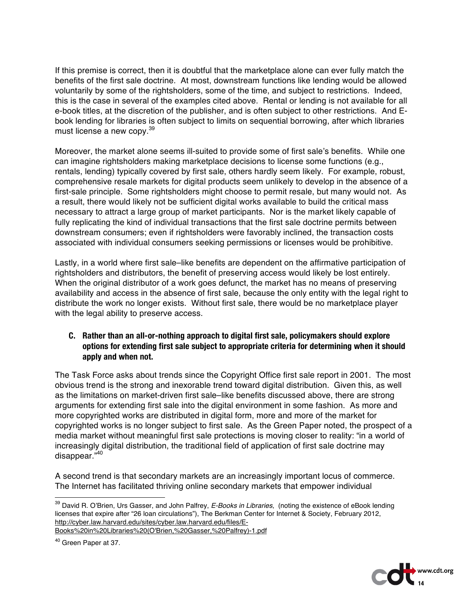If this premise is correct, then it is doubtful that the marketplace alone can ever fully match the benefits of the first sale doctrine. At most, downstream functions like lending would be allowed voluntarily by some of the rightsholders, some of the time, and subject to restrictions. Indeed, this is the case in several of the examples cited above. Rental or lending is not available for all e-book titles, at the discretion of the publisher, and is often subject to other restrictions. And Ebook lending for libraries is often subject to limits on sequential borrowing, after which libraries must license a new copy.<sup>39</sup>

Moreover, the market alone seems ill-suited to provide some of first sale's benefits. While one can imagine rightsholders making marketplace decisions to license some functions (e.g., rentals, lending) typically covered by first sale, others hardly seem likely. For example, robust, comprehensive resale markets for digital products seem unlikely to develop in the absence of a first-sale principle. Some rightsholders might choose to permit resale, but many would not. As a result, there would likely not be sufficient digital works available to build the critical mass necessary to attract a large group of market participants. Nor is the market likely capable of fully replicating the kind of individual transactions that the first sale doctrine permits between downstream consumers; even if rightsholders were favorably inclined, the transaction costs associated with individual consumers seeking permissions or licenses would be prohibitive.

Lastly, in a world where first sale–like benefits are dependent on the affirmative participation of rightsholders and distributors, the benefit of preserving access would likely be lost entirely. When the original distributor of a work goes defunct, the market has no means of preserving availability and access in the absence of first sale, because the only entity with the legal right to distribute the work no longer exists. Without first sale, there would be no marketplace player with the legal ability to preserve access.

### **C. Rather than an all-or-nothing approach to digital first sale, policymakers should explore options for extending first sale subject to appropriate criteria for determining when it should apply and when not.**

The Task Force asks about trends since the Copyright Office first sale report in 2001. The most obvious trend is the strong and inexorable trend toward digital distribution. Given this, as well as the limitations on market-driven first sale–like benefits discussed above, there are strong arguments for extending first sale into the digital environment in some fashion. As more and more copyrighted works are distributed in digital form, more and more of the market for copyrighted works is no longer subject to first sale. As the Green Paper noted, the prospect of a media market without meaningful first sale protections is moving closer to reality: "in a world of increasingly digital distribution, the traditional field of application of first sale doctrine may disappear."40

A second trend is that secondary markets are an increasingly important locus of commerce. The Internet has facilitated thriving online secondary markets that empower individual



 <sup>39</sup> David R. O'Brien, Urs Gasser, and John Palfrey, *E-Books in Libraries*, (noting the existence of eBook lending licenses that expire after "26 loan circulations"), The Berkman Center for Internet & Society, February 2012, http://cyber.law.harvard.edu/sites/cyber.law.harvard.edu/files/E-Books%20in%20Libraries%20(O'Brien,%20Gasser,%20Palfrey)-1.pdf

<sup>40</sup> Green Paper at 37.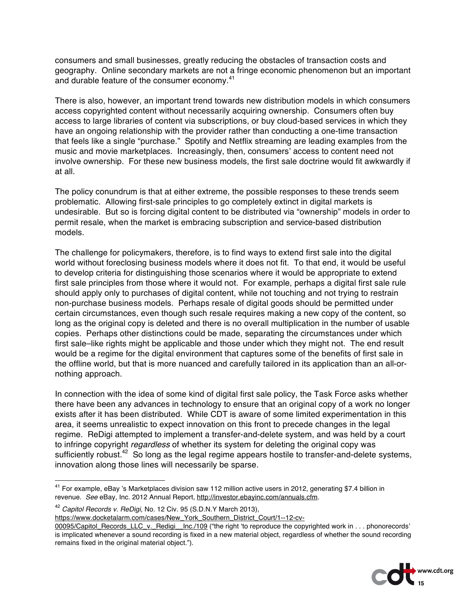consumers and small businesses, greatly reducing the obstacles of transaction costs and geography. Online secondary markets are not a fringe economic phenomenon but an important and durable feature of the consumer economy.<sup>41</sup>

There is also, however, an important trend towards new distribution models in which consumers access copyrighted content without necessarily acquiring ownership. Consumers often buy access to large libraries of content via subscriptions, or buy cloud-based services in which they have an ongoing relationship with the provider rather than conducting a one-time transaction that feels like a single "purchase." Spotify and Netflix streaming are leading examples from the music and movie marketplaces. Increasingly, then, consumers' access to content need not involve ownership. For these new business models, the first sale doctrine would fit awkwardly if at all.

The policy conundrum is that at either extreme, the possible responses to these trends seem problematic. Allowing first-sale principles to go completely extinct in digital markets is undesirable. But so is forcing digital content to be distributed via "ownership" models in order to permit resale, when the market is embracing subscription and service-based distribution models.

The challenge for policymakers, therefore, is to find ways to extend first sale into the digital world without foreclosing business models where it does not fit. To that end, it would be useful to develop criteria for distinguishing those scenarios where it would be appropriate to extend first sale principles from those where it would not. For example, perhaps a digital first sale rule should apply only to purchases of digital content, while not touching and not trying to restrain non-purchase business models. Perhaps resale of digital goods should be permitted under certain circumstances, even though such resale requires making a new copy of the content, so long as the original copy is deleted and there is no overall multiplication in the number of usable copies. Perhaps other distinctions could be made, separating the circumstances under which first sale–like rights might be applicable and those under which they might not. The end result would be a regime for the digital environment that captures some of the benefits of first sale in the offline world, but that is more nuanced and carefully tailored in its application than an all-ornothing approach.

In connection with the idea of some kind of digital first sale policy, the Task Force asks whether there have been any advances in technology to ensure that an original copy of a work no longer exists after it has been distributed. While CDT is aware of some limited experimentation in this area, it seems unrealistic to expect innovation on this front to precede changes in the legal regime. ReDigi attempted to implement a transfer-and-delete system, and was held by a court to infringe copyright *regardless* of whether its system for deleting the original copy was sufficiently robust.<sup>42</sup> So long as the legal regime appears hostile to transfer-and-delete systems, innovation along those lines will necessarily be sparse.

<sup>42</sup> *Capitol Records v. ReDigi*, No. 12 Civ. 95 (S.D.N.Y March 2013),

https://www.docketalarm.com/cases/New\_York\_Southern\_District\_Court/1--12-cv-

<sup>00095/</sup>Capitol\_Records\_LLC\_v.\_Redigi\_\_Inc./109 ("the right 'to reproduce the copyrighted work in . . . phonorecords' is implicated whenever a sound recording is fixed in a new material object, regardless of whether the sound recording remains fixed in the original material object.").



<sup>&</sup>lt;sup>41</sup> For example, eBay 's Marketplaces division saw 112 million active users in 2012, generating \$7.4 billion in revenue. *See* eBay, Inc. 2012 Annual Report, http://investor.ebayinc.com/annuals.cfm.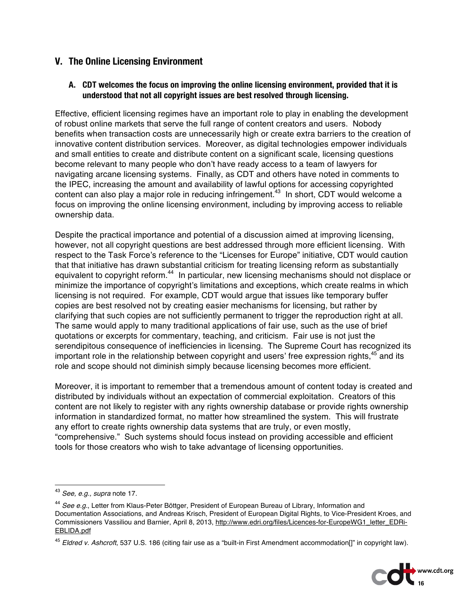## **V. The Online Licensing Environment**

### **A. CDT welcomes the focus on improving the online licensing environment, provided that it is understood that not all copyright issues are best resolved through licensing.**

Effective, efficient licensing regimes have an important role to play in enabling the development of robust online markets that serve the full range of content creators and users. Nobody benefits when transaction costs are unnecessarily high or create extra barriers to the creation of innovative content distribution services. Moreover, as digital technologies empower individuals and small entities to create and distribute content on a significant scale, licensing questions become relevant to many people who don't have ready access to a team of lawyers for navigating arcane licensing systems. Finally, as CDT and others have noted in comments to the IPEC, increasing the amount and availability of lawful options for accessing copyrighted content can also play a major role in reducing infringement.<sup>43</sup> In short, CDT would welcome a focus on improving the online licensing environment, including by improving access to reliable ownership data.

Despite the practical importance and potential of a discussion aimed at improving licensing, however, not all copyright questions are best addressed through more efficient licensing. With respect to the Task Force's reference to the "Licenses for Europe" initiative, CDT would caution that that initiative has drawn substantial criticism for treating licensing reform as substantially equivalent to copyright reform.<sup>44</sup> In particular, new licensing mechanisms should not displace or minimize the importance of copyright's limitations and exceptions, which create realms in which licensing is not required. For example, CDT would argue that issues like temporary buffer copies are best resolved not by creating easier mechanisms for licensing, but rather by clarifying that such copies are not sufficiently permanent to trigger the reproduction right at all. The same would apply to many traditional applications of fair use, such as the use of brief quotations or excerpts for commentary, teaching, and criticism. Fair use is not just the serendipitous consequence of inefficiencies in licensing. The Supreme Court has recognized its important role in the relationship between copyright and users' free expression rights, $45$  and its role and scope should not diminish simply because licensing becomes more efficient.

Moreover, it is important to remember that a tremendous amount of content today is created and distributed by individuals without an expectation of commercial exploitation. Creators of this content are not likely to register with any rights ownership database or provide rights ownership information in standardized format, no matter how streamlined the system. This will frustrate any effort to create rights ownership data systems that are truly, or even mostly, "comprehensive." Such systems should focus instead on providing accessible and efficient tools for those creators who wish to take advantage of licensing opportunities.

<sup>45</sup> *Eldred v. Ashcroft*, 537 U.S. 186 (citing fair use as a "built-in First Amendment accommodation[]" in copyright law).



 <sup>43</sup> *See, e.g., supra* note 17.

<sup>44</sup> *See e.g.*, Letter from Klaus-Peter Böttger, President of European Bureau of Library, Information and Documentation Associations, and Andreas Krisch, President of European Digital Rights, to Vice-President Kroes, and Commissioners Vassiliou and Barnier, April 8, 2013, http://www.edri.org/files/Licences-for-EuropeWG1\_letter\_EDRi-EBLIDA.pdf